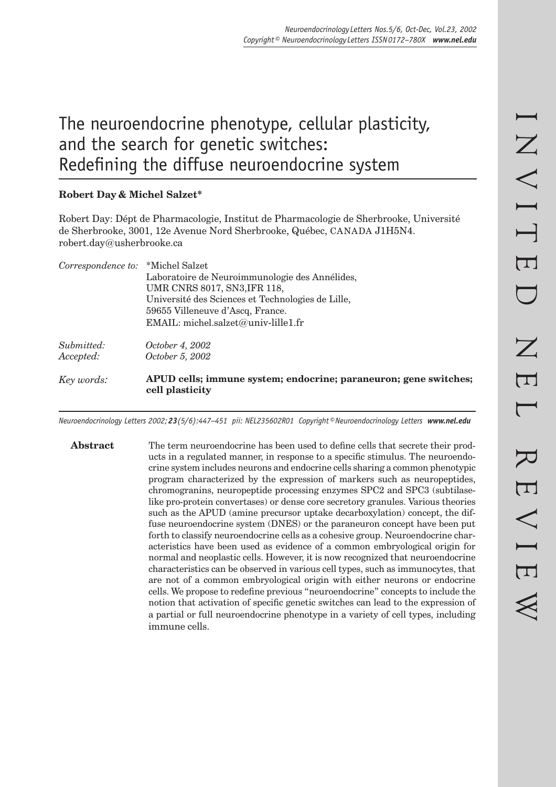# The neuroendocrine phenotype, cellular plasticity, and the search for genetic switches: Redefining the diffuse neuroendocrine system

## **Robert Day & Michel Salzet\***

Robert Day: Dépt de Pharmacologie, Institut de Pharmacologie de Sherbrooke, Université de Sherbrooke, 3001, 12e Avenue Nord Sherbrooke, Québec, CANADA J1H5N4. robert.day@usherbrooke.ca

| Key words:                        | APUD cells; immune system; endocrine; paraneuron; gene switches;<br>cell plasticity                                                                                                                            |
|-----------------------------------|----------------------------------------------------------------------------------------------------------------------------------------------------------------------------------------------------------------|
| Submitted:<br>Accepted:           | <i>October 4, 2002</i><br><i>October 5, 2002</i>                                                                                                                                                               |
|                                   | Laboratoire de Neuroimmunologie des Annélides,<br>UMR CNRS 8017, SN3, IFR 118,<br>Université des Sciences et Technologies de Lille,<br>59655 Villeneuve d'Ascq, France.<br>EMAIL: michel.salzet@univ-lille1.fr |
| Correspondence to: *Michel Salzet |                                                                                                                                                                                                                |

*Neuroendocrinology Letters 2002; 23(5/6):447–451 pii: NEL235602R01 Copyright © Neuroendocrinology Letters www.nel.edu*

**Abstract** The term neuroendocrine has been used to define cells that secrete their products in a regulated manner, in response to a specific stimulus. The neuroendocrine system includes neurons and endocrine cells sharing a common phenotypic program characterized by the expression of markers such as neuropeptides, chromogranins, neuropeptide processing enzymes SPC2 and SPC3 (subtilaselike pro-protein convertases) or dense core secretory granules. Various theories such as the APUD (amine precursor uptake decarboxylation) concept, the diffuse neuroendocrine system (DNES) or the paraneuron concept have been put forth to classify neuroendocrine cells as a cohesive group. Neuroendocrine characteristics have been used as evidence of a common embryological origin for normal and neoplastic cells. However, it is now recognized that neuroendocrine characteristics can be observed in various cell types, such as immunocytes, that are not of a common embryological origin with either neurons or endocrine cells. We propose to redefine previous "neuroendocrine" concepts to include the notion that activation of specific genetic switches can lead to the expression of a partial or full neuroendocrine phenotype in a variety of cell types, including immune cells.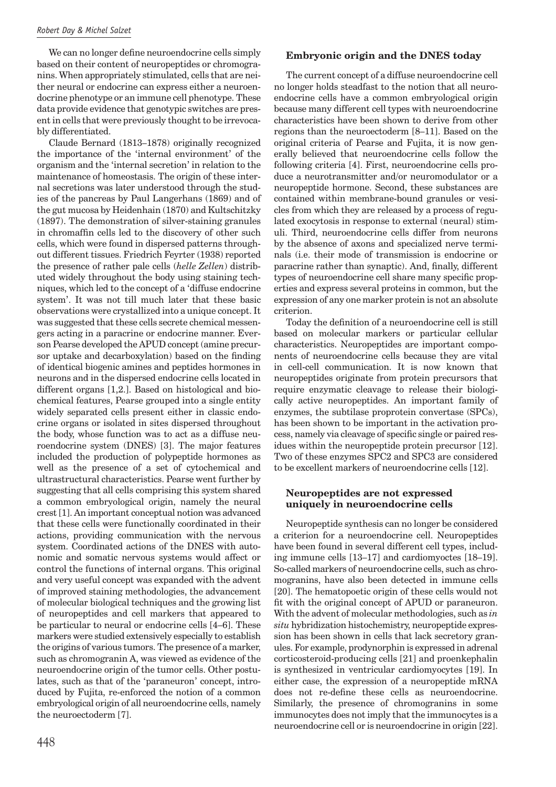We can no longer define neuroendocrine cells simply based on their content of neuropeptides or chromogranins. When appropriately stimulated, cells that are neither neural or endocrine can express either a neuroendocrine phenotype or an immune cell phenotype. These data provide evidence that genotypic switches are present in cells that were previously thought to be irrevocably differentiated.

Claude Bernard (1813–1878) originally recognized the importance of the 'internal environment' of the organism and the 'internal secretion' in relation to the maintenance of homeostasis. The origin of these internal secretions was later understood through the studies of the pancreas by Paul Langerhans (1869) and of the gut mucosa by Heidenhain (1870) and Kultschitzky (1897). The demonstration of silver-staining granules in chromaffin cells led to the discovery of other such cells, which were found in dispersed patterns throughout different tissues. Friedrich Feyrter (1938) reported the presence of rather pale cells (*helle Zellen*) distributed widely throughout the body using staining techniques, which led to the concept of a 'diffuse endocrine system'. It was not till much later that these basic observations were crystallized into a unique concept. It was suggested that these cells secrete chemical messengers acting in a paracrine or endocrine manner. Everson Pearse developed the APUD concept (amine precursor uptake and decarboxylation) based on the finding of identical biogenic amines and peptides hormones in neurons and in the dispersed endocrine cells located in different organs [1,2.]. Based on histological and biochemical features, Pearse grouped into a single entity widely separated cells present either in classic endocrine organs or isolated in sites dispersed throughout the body, whose function was to act as a diffuse neuroendocrine system (DNES) [3]. The major features included the production of polypeptide hormones as well as the presence of a set of cytochemical and ultrastructural characteristics. Pearse went further by suggesting that all cells comprising this system shared a common embryological origin, namely the neural crest [1]. An important conceptual notion was advanced that these cells were functionally coordinated in their actions, providing communication with the nervous system. Coordinated actions of the DNES with autonomic and somatic nervous systems would affect or control the functions of internal organs. This original and very useful concept was expanded with the advent of improved staining methodologies, the advancement of molecular biological techniques and the growing list of neuropeptides and cell markers that appeared to be particular to neural or endocrine cells [4–6]. These markers were studied extensively especially to establish the origins of various tumors. The presence of a marker, such as chromogranin A, was viewed as evidence of the neuroendocrine origin of the tumor cells. Other postulates, such as that of the 'paraneuron' concept, introduced by Fujita, re-enforced the notion of a common embryological origin of all neuroendocrine cells, namely the neuroectoderm [7].

## **Embryonic origin and the DNES today**

The current concept of a diffuse neuroendocrine cell no longer holds steadfast to the notion that all neuroendocrine cells have a common embryological origin because many different cell types with neuroendocrine characteristics have been shown to derive from other regions than the neuroectoderm [8–11]. Based on the original criteria of Pearse and Fujita, it is now generally believed that neuroendocrine cells follow the following criteria [4]. First, neuroendocrine cells produce a neurotransmitter and/or neuromodulator or a neuropeptide hormone. Second, these substances are contained within membrane-bound granules or vesicles from which they are released by a process of regulated exocytosis in response to external (neural) stimuli. Third, neuroendocrine cells differ from neurons by the absence of axons and specialized nerve terminals (i.e. their mode of transmission is endocrine or paracrine rather than synaptic). And, finally, different types of neuroendocrine cell share many specific properties and express several proteins in common, but the expression of any one marker protein is not an absolute criterion.

Today the definition of a neuroendocrine cell is still based on molecular markers or particular cellular characteristics. Neuropeptides are important components of neuroendocrine cells because they are vital in cell-cell communication. It is now known that neuropeptides originate from protein precursors that require enzymatic cleavage to release their biologically active neuropeptides. An important family of enzymes, the subtilase proprotein convertase (SPCs), has been shown to be important in the activation process, namely via cleavage of specific single or paired residues within the neuropeptide protein precursor [12]. Two of these enzymes SPC2 and SPC3 are considered to be excellent markers of neuroendocrine cells [12].

#### **Neuropeptides are not expressed uniquely in neuroendocrine cells**

Neuropeptide synthesis can no longer be considered a criterion for a neuroendocrine cell. Neuropeptides have been found in several different cell types, including immune cells [13–17] and cardiomyoctes [18–19]. So-called markers of neuroendocrine cells, such as chromogranins, have also been detected in immune cells [20]. The hematopoetic origin of these cells would not fit with the original concept of APUD or paraneuron. With the advent of molecular methodologies, such as *in situ* hybridization histochemistry, neuropeptide expression has been shown in cells that lack secretory granules. For example, prodynorphin is expressed in adrenal corticosteroid-producing cells [21] and proenkephalin is synthesized in ventricular cardiomyocytes [19]. In either case, the expression of a neuropeptide mRNA does not re-define these cells as neuroendocrine. Similarly, the presence of chromogranins in some immunocytes does not imply that the immunocytes is a neuroendocrine cell or is neuroendocrine in origin [22].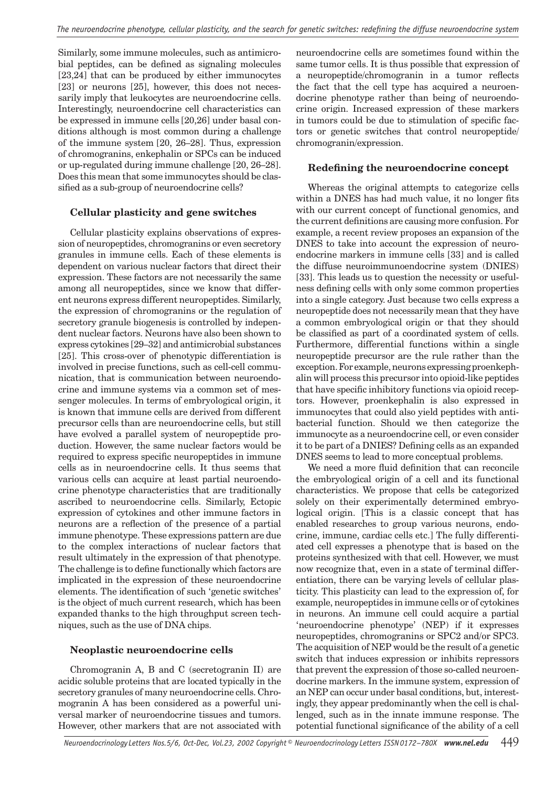Similarly, some immune molecules, such as antimicrobial peptides, can be defined as signaling molecules [23,24] that can be produced by either immunocytes [23] or neurons [25], however, this does not necessarily imply that leukocytes are neuroendocrine cells. Interestingly, neuroendocrine cell characteristics can be expressed in immune cells [20,26] under basal conditions although is most common during a challenge of the immune system [20, 26–28]. Thus, expression of chromogranins, enkephalin or SPCs can be induced or up-regulated during immune challenge [20, 26–28]. Does this mean that some immunocytes should be classified as a sub-group of neuroendocrine cells?

## **Cellular plasticity and gene switches**

Cellular plasticity explains observations of expression of neuropeptides, chromogranins or even secretory granules in immune cells. Each of these elements is dependent on various nuclear factors that direct their expression. These factors are not necessarily the same among all neuropeptides, since we know that different neurons express different neuropeptides. Similarly, the expression of chromogranins or the regulation of secretory granule biogenesis is controlled by independent nuclear factors. Neurons have also been shown to express cytokines [29–32] and antimicrobial substances [25]. This cross-over of phenotypic differentiation is involved in precise functions, such as cell-cell communication, that is communication between neuroendocrine and immune systems via a common set of messenger molecules. In terms of embryological origin, it is known that immune cells are derived from different precursor cells than are neuroendocrine cells, but still have evolved a parallel system of neuropeptide production. However, the same nuclear factors would be required to express specific neuropeptides in immune cells as in neuroendocrine cells. It thus seems that various cells can acquire at least partial neuroendocrine phenotype characteristics that are traditionally ascribed to neuroendocrine cells. Similarly, Ectopic expression of cytokines and other immune factors in neurons are a reflection of the presence of a partial immune phenotype. These expressions pattern are due to the complex interactions of nuclear factors that result ultimately in the expression of that phenotype. The challenge is to define functionally which factors are implicated in the expression of these neuroendocrine elements. The identification of such 'genetic switches' is the object of much current research, which has been expanded thanks to the high throughput screen techniques, such as the use of DNA chips.

## **Neoplastic neuroendocrine cells**

Chromogranin A, B and C (secretogranin II) are acidic soluble proteins that are located typically in the secretory granules of many neuroendocrine cells. Chromogranin A has been considered as a powerful universal marker of neuroendocrine tissues and tumors. However, other markers that are not associated with

neuroendocrine cells are sometimes found within the same tumor cells. It is thus possible that expression of a neuropeptide/chromogranin in a tumor reflects the fact that the cell type has acquired a neuroendocrine phenotype rather than being of neuroendocrine origin. Increased expression of these markers in tumors could be due to stimulation of specific factors or genetic switches that control neuropeptide/ chromogranin/expression.

## **Redefining the neuroendocrine concept**

Whereas the original attempts to categorize cells within a DNES has had much value, it no longer fits with our current concept of functional genomics, and the current definitions are causing more confusion. For example, a recent review proposes an expansion of the DNES to take into account the expression of neuroendocrine markers in immune cells [33] and is called the diffuse neuroimmunoendocrine system (DNIES) [33]. This leads us to question the necessity or usefulness defining cells with only some common properties into a single category. Just because two cells express a neuropeptide does not necessarily mean that they have a common embryological origin or that they should be classified as part of a coordinated system of cells. Furthermore, differential functions within a single neuropeptide precursor are the rule rather than the exception. For example, neurons expressing proenkephalin will process this precursor into opioid-like peptides that have specific inhibitory functions via opioid receptors. However, proenkephalin is also expressed in immunocytes that could also yield peptides with antibacterial function. Should we then categorize the immunocyte as a neuroendocrine cell, or even consider it to be part of a DNIES? Defining cells as an expanded DNES seems to lead to more conceptual problems.

We need a more fluid definition that can reconcile the embryological origin of a cell and its functional characteristics. We propose that cells be categorized solely on their experimentally determined embryological origin. [This is a classic concept that has enabled researches to group various neurons, endocrine, immune, cardiac cells etc.] The fully differentiated cell expresses a phenotype that is based on the proteins synthesized with that cell. However, we must now recognize that, even in a state of terminal differentiation, there can be varying levels of cellular plasticity. This plasticity can lead to the expression of, for example, neuropeptides in immune cells or of cytokines in neurons. An immune cell could acquire a partial 'neuroendocrine phenotype' (NEP) if it expresses neuropeptides, chromogranins or SPC2 and/or SPC3. The acquisition of NEP would be the result of a genetic switch that induces expression or inhibits repressors that prevent the expression of those so-called neuroendocrine markers. In the immune system, expression of an NEP can occur under basal conditions, but, interestingly, they appear predominantly when the cell is challenged, such as in the innate immune response. The potential functional significance of the ability of a cell

*Neuroendocrinology Letters Nos.5/6, Oct-Dec, Vol.23, 2002 Copyright © Neuroendocrinology Letters ISSN 0172–780X www.nel.edu* 449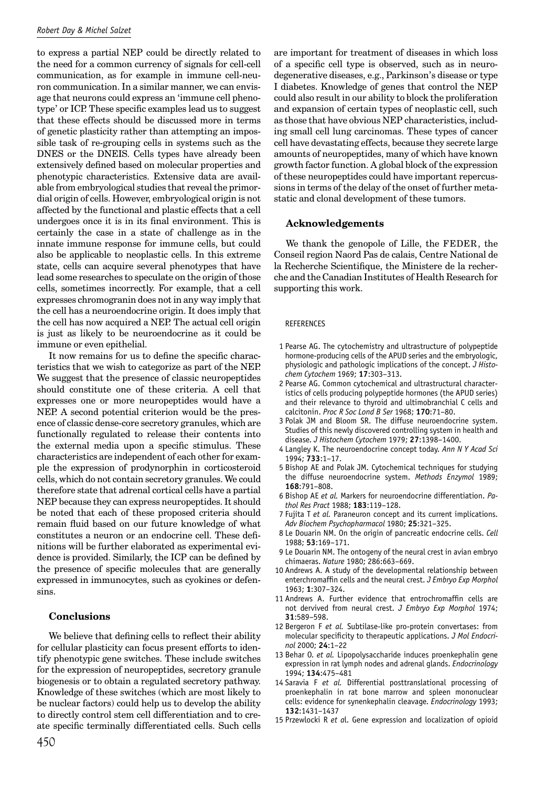to express a partial NEP could be directly related to the need for a common currency of signals for cell-cell communication, as for example in immune cell-neuron communication. In a similar manner, we can envisage that neurons could express an 'immune cell phenotype' or ICP. These specific examples lead us to suggest that these effects should be discussed more in terms of genetic plasticity rather than attempting an impossible task of re-grouping cells in systems such as the DNES or the DNEIS. Cells types have already been extensively defined based on molecular properties and phenotypic characteristics. Extensive data are available from embryological studies that reveal the primordial origin of cells. However, embryological origin is not affected by the functional and plastic effects that a cell undergoes once it is in its final environment. This is certainly the case in a state of challenge as in the innate immune response for immune cells, but could also be applicable to neoplastic cells. In this extreme state, cells can acquire several phenotypes that have lead some researches to speculate on the origin of those cells, sometimes incorrectly. For example, that a cell expresses chromogranin does not in any way imply that the cell has a neuroendocrine origin. It does imply that the cell has now acquired a NEP. The actual cell origin is just as likely to be neuroendocrine as it could be immune or even epithelial.

It now remains for us to define the specific characteristics that we wish to categorize as part of the NEP. We suggest that the presence of classic neuropeptides should constitute one of these criteria. A cell that expresses one or more neuropeptides would have a NEP. A second potential criterion would be the presence of classic dense-core secretory granules, which are functionally regulated to release their contents into the external media upon a specific stimulus. These characteristics are independent of each other for example the expression of prodynorphin in corticosteroid cells, which do not contain secretory granules. We could therefore state that adrenal cortical cells have a partial NEP because they can express neuropeptides. It should be noted that each of these proposed criteria should remain fluid based on our future knowledge of what constitutes a neuron or an endocrine cell. These definitions will be further elaborated as experimental evidence is provided. Similarly, the ICP can be defined by the presence of specific molecules that are generally expressed in immunocytes, such as cyokines or defensins.

#### **Conclusions**

We believe that defining cells to reflect their ability for cellular plasticity can focus present efforts to identify phenotypic gene switches. These include switches for the expression of neuropeptides, secretory granule biogenesis or to obtain a regulated secretory pathway. Knowledge of these switches (which are most likely to be nuclear factors) could help us to develop the ability to directly control stem cell differentiation and to create specific terminally differentiated cells. Such cells are important for treatment of diseases in which loss of a specific cell type is observed, such as in neurodegenerative diseases, e.g., Parkinson's disease or type I diabetes. Knowledge of genes that control the NEP could also result in our ability to block the proliferation and expansion of certain types of neoplastic cell, such as those that have obvious NEP characteristics, including small cell lung carcinomas. These types of cancer cell have devastating effects, because they secrete large amounts of neuropeptides, many of which have known growth factor function. A global block of the expression of these neuropeptides could have important repercussions in terms of the delay of the onset of further metastatic and clonal development of these tumors.

#### **Acknowledgements**

We thank the genopole of Lille, the FEDER, the Conseil region Naord Pas de calais, Centre National de la Recherche Scientifique, the Ministere de la recherche and the Canadian Institutes of Health Research for supporting this work.

#### REFERENCES

- 1 Pearse AG. The cytochemistry and ultrastructure of polypeptide hormone-producing cells of the APUD series and the embryologic, physiologic and pathologic implications of the concept. *J Histochem Cytochem* 1969; **17**:303–313.
- 2 Pearse AG. Common cytochemical and ultrastructural characteristics of cells producing polypeptide hormones (the APUD series) and their relevance to thyroid and ultimobranchial C cells and calcitonin. *Proc R Soc Lond B Ser* 1968; **170**:71–80.
- 3 Polak JM and Bloom SR. The diffuse neuroendocrine system. Studies of this newly discovered controlling system in health and disease. *J Histochem Cytochem* 1979; **27**:1398–1400.
- 4 Langley K. The neuroendocrine concept today. *Ann N Y Acad Sci* 1994; **733**:1–17.
- 5 Bishop AE and Polak JM. Cytochemical techniques for studying the diffuse neuroendocrine system. *Methods Enzymol* 1989; **168**:791–808.
- 6 Bishop AE *et al.* Markers for neuroendocrine differentiation. *Pathol Res Pract* 1988; **183**:119–128.
- 7 Fujita T *et al.* Paraneuron concept and its current implications. *Adv Biochem Psychopharmacol* 1980; **25**:321–325.
- 8 Le Douarin NM. On the origin of pancreatic endocrine cells. *Cell* 1988; **53**:169–171.
- 9 Le Douarin NM. The ontogeny of the neural crest in avian embryo chimaeras. *Nature* 1980; 286:663–669.
- 10 Andrews A. A study of the developmental relationship between enterchromaffin cells and the neural crest. *J Embryo Exp Morphol* 1963; **1**:307–324.
- 11 Andrews A. Further evidence that entrochromaffin cells are not dervived from neural crest. *J Embryo Exp Morphol* 1974; **31**:589–598.
- 12 Bergeron F *et al.* Subtilase-like pro-protein convertases: from molecular specificity to therapeutic applications. *J Mol Endocrinol* 2000; **24**:1–22
- 13 Behar O. *et al.* Lipopolysaccharide induces proenkephalin gene expression in rat lymph nodes and adrenal glands. *Endocrinology* 1994; **134**:475–481
- 14 Saravia F *et al.* Differential posttranslational processing of proenkephalin in rat bone marrow and spleen mononuclear cells: evidence for synenkephalin cleavage. *Endocrinology* 1993; **132**:1431–1437
- 15 Przewlocki R *et a*l. Gene expression and localization of opioid